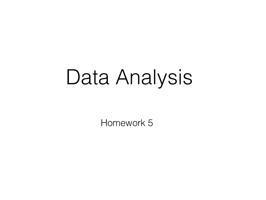## Data Analysis

Homework 5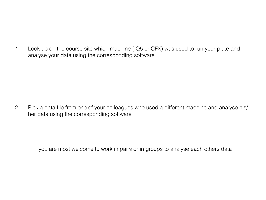1. Look up on the course site which machine (IQ5 or CFX) was used to run your plate and analyse your data using the corresponding software

2. Pick a data file from one of your colleagues who used a different machine and analyse his/ her data using the corresponding software

you are most welcome to work in pairs or in groups to analyse each others data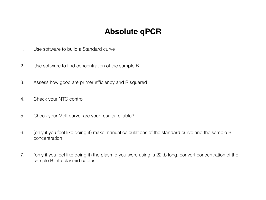## **Absolute qPCR**

- 1. Use software to build a Standard curve
- 2. Use software to find concentration of the sample B
- 3. Assess how good are primer efficiency and R squared
- 4. Check your NTC control
- 5. Check your Melt curve, are your results reliable?
- 6. (only if you feel like doing it) make manual calculations of the standard curve and the sample B concentration
- 7. (only if you feel like doing it) the plasmid you were using is 22kb long, convert concentration of the sample B into plasmid copies